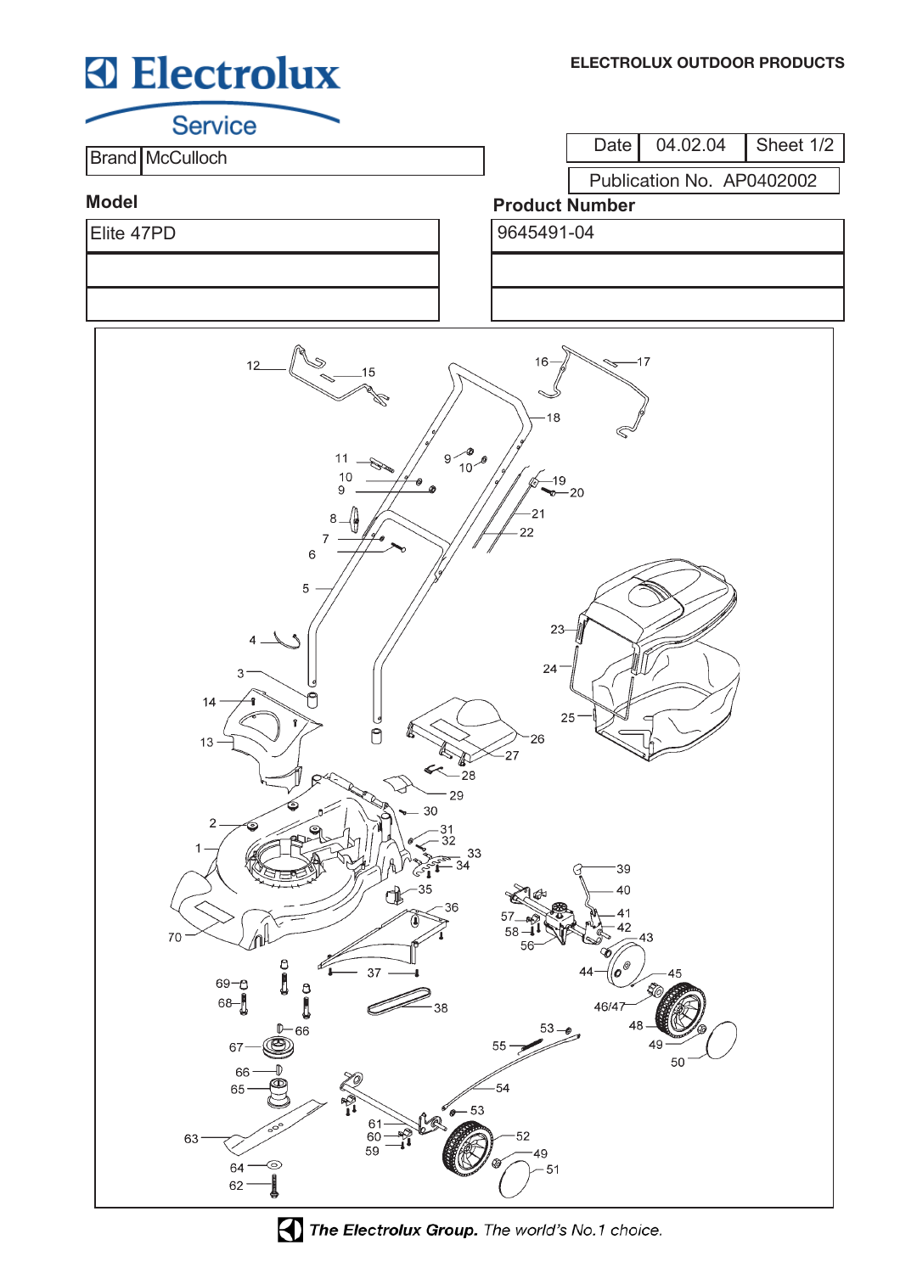# **Electrolux**

**Service** 

**Brand McCulloch** 

Date 04.02.04 Sheet 1/2

Publication No. AP0402002

### **Model**

Elite 47PD 9645491-04

## **Product Number**



The Electrolux Group. The world's No.1 choice.